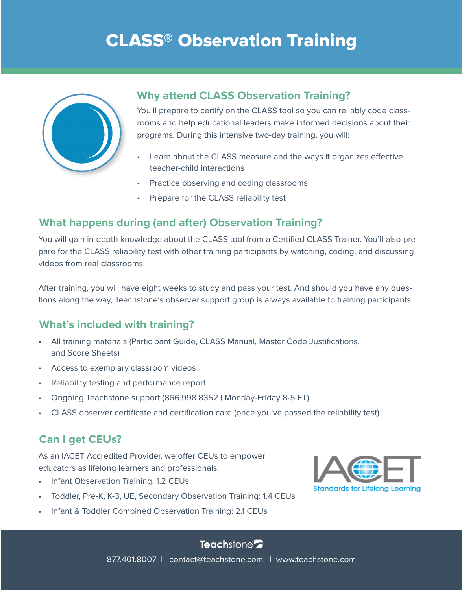# CLASS® Observation Training



## **Why attend CLASS Observation Training?**

You'll prepare to certify on the CLASS tool so you can reliably code classrooms and help educational leaders make informed decisions about their programs. During this intensive two-day training, you will:

- Learn about the CLASS measure and the ways it organizes effective teacher-child interactions
- Practice observing and coding classrooms
- Prepare for the CLASS reliability test

# **What happens during (and after) Observation Training?**

You will gain in-depth knowledge about the CLASS tool from a Certified CLASS Trainer. You'll also prepare for the CLASS reliability test with other training participants by watching, coding, and discussing videos from real classrooms.

After training, you will have eight weeks to study and pass your test. And should you have any questions along the way, Teachstone's observer support group is always available to training participants.

## **What's included with training?**

- All training materials (Participant Guide, CLASS Manual, Master Code Justifications, and Score Sheets)
- Access to exemplary classroom videos
- Reliability testing and performance report
- Ongoing Teachstone support (866.998.8352 | Monday-Friday 8-5 ET)
- CLASS observer certificate and certification card (once you've passed the reliability test)

# **Can I get CEUs?**

As an IACET Accredited Provider, we offer CEUs to empower educators as lifelong learners and professionals:

- Infant Observation Training: 1.2 CEUs
- Toddler, Pre-K, K-3, UE, Secondary Observation Training: 1.4 CEUs
- Infant & Toddler Combined Observation Training: 2.1 CEUs